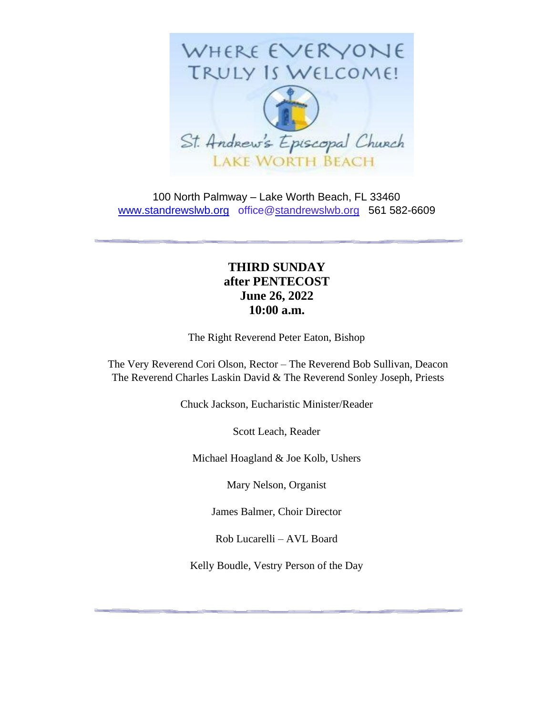

100 North Palmway – Lake Worth Beach, FL 33460 www.standrewslwb.or[g](http://www.standrewslwb.com/) office@standrewslwb.org 561 582-6609

# **THIRD SUNDAY after PENTECOST June 26, 2022 10:00 a.m.**

The Right Reverend Peter Eaton, Bishop

The Very Reverend Cori Olson, Rector – The Reverend Bob Sullivan, Deacon The Reverend Charles Laskin David & The Reverend Sonley Joseph, Priests

Chuck Jackson, Eucharistic Minister/Reader

Scott Leach, Reader

Michael Hoagland & Joe Kolb, Ushers

Mary Nelson, Organist

James Balmer, Choir Director

Rob Lucarelli – AVL Board

Kelly Boudle, Vestry Person of the Day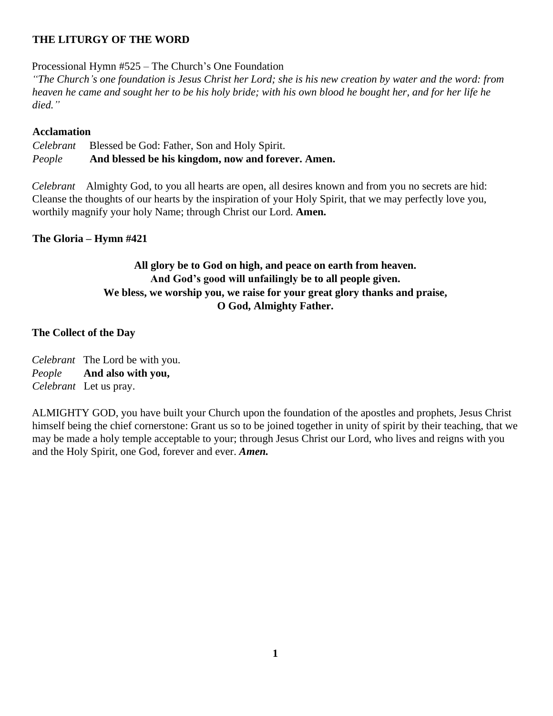# **THE LITURGY OF THE WORD**

Processional Hymn #525 – The Church's One Foundation

*"The Church's one foundation is Jesus Christ her Lord; she is his new creation by water and the word: from heaven he came and sought her to be his holy bride; with his own blood he bought her, and for her life he died."*

### **Acclamation**

*Celebrant* Blessed be God: Father, Son and Holy Spirit. *People* **And blessed be his kingdom, now and forever. Amen.**

*Celebrant* Almighty God, to you all hearts are open, all desires known and from you no secrets are hid: Cleanse the thoughts of our hearts by the inspiration of your Holy Spirit, that we may perfectly love you, worthily magnify your holy Name; through Christ our Lord. **Amen.**

## **The Gloria – Hymn #421**

# **All glory be to God on high, and peace on earth from heaven. And God's good will unfailingly be to all people given. We bless, we worship you, we raise for your great glory thanks and praise, O God, Almighty Father.**

### **The Collect of the Day**

*Celebrant* The Lord be with you. *People* **And also with you,** *Celebrant* Let us pray.

ALMIGHTY GOD, you have built your Church upon the foundation of the apostles and prophets, Jesus Christ himself being the chief cornerstone: Grant us so to be joined together in unity of spirit by their teaching, that we may be made a holy temple acceptable to your; through Jesus Christ our Lord, who lives and reigns with you and the Holy Spirit, one God, forever and ever. *Amen.*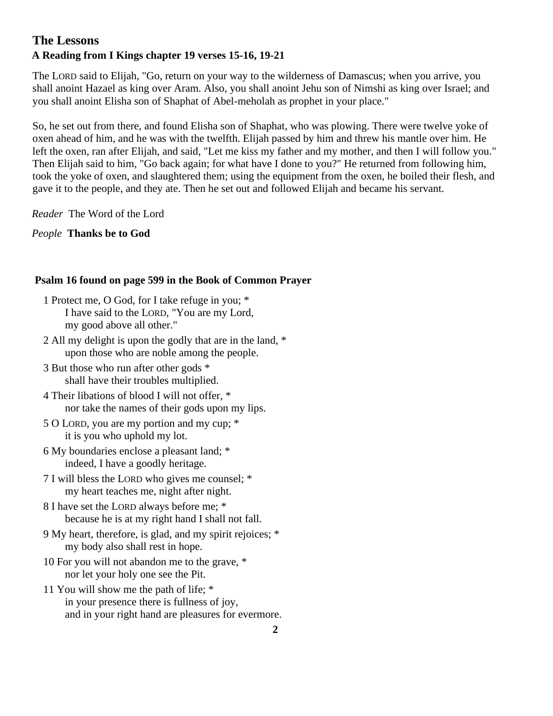# **The Lessons A Reading from I Kings chapter 19 verses 15-16, 19-21**

The LORD said to Elijah, "Go, return on your way to the wilderness of Damascus; when you arrive, you shall anoint Hazael as king over Aram. Also, you shall anoint Jehu son of Nimshi as king over Israel; and you shall anoint Elisha son of Shaphat of Abel-meholah as prophet in your place."

So, he set out from there, and found Elisha son of Shaphat, who was plowing. There were twelve yoke of oxen ahead of him, and he was with the twelfth. Elijah passed by him and threw his mantle over him. He left the oxen, ran after Elijah, and said, "Let me kiss my father and my mother, and then I will follow you." Then Elijah said to him, "Go back again; for what have I done to you?" He returned from following him, took the yoke of oxen, and slaughtered them; using the equipment from the oxen, he boiled their flesh, and gave it to the people, and they ate. Then he set out and followed Elijah and became his servant.

*Reader* The Word of the Lord

*People* **Thanks be to God** 

### **Psalm 16 found on page 599 in the Book of Common Prayer**

- 1 Protect me, O God, for I take refuge in you; \* I have said to the LORD, "You are my Lord, my good above all other."
- 2 All my delight is upon the godly that are in the land, \* upon those who are noble among the people.
- 3 But those who run after other gods \* shall have their troubles multiplied.
- 4 Their libations of blood I will not offer, \* nor take the names of their gods upon my lips.
- 5 O LORD, you are my portion and my cup; \* it is you who uphold my lot.
- 6 My boundaries enclose a pleasant land; \* indeed, I have a goodly heritage.
- 7 I will bless the LORD who gives me counsel; \* my heart teaches me, night after night.
- 8 I have set the LORD always before me; \* because he is at my right hand I shall not fall.
- 9 My heart, therefore, is glad, and my spirit rejoices; \* my body also shall rest in hope.
- 10 For you will not abandon me to the grave, \* nor let your holy one see the Pit.
- 11 You will show me the path of life; \* in your presence there is fullness of joy, and in your right hand are pleasures for evermore.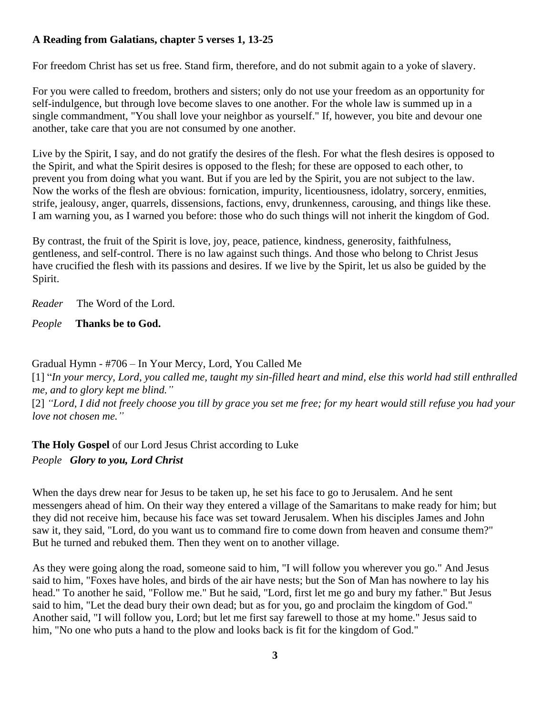# **A Reading from Galatians, chapter 5 verses 1, 13-25**

For freedom Christ has set us free. Stand firm, therefore, and do not submit again to a yoke of slavery.

For you were called to freedom, brothers and sisters; only do not use your freedom as an opportunity for self-indulgence, but through love become slaves to one another. For the whole law is summed up in a single commandment, "You shall love your neighbor as yourself." If, however, you bite and devour one another, take care that you are not consumed by one another.

Live by the Spirit, I say, and do not gratify the desires of the flesh. For what the flesh desires is opposed to the Spirit, and what the Spirit desires is opposed to the flesh; for these are opposed to each other, to prevent you from doing what you want. But if you are led by the Spirit, you are not subject to the law. Now the works of the flesh are obvious: fornication, impurity, licentiousness, idolatry, sorcery, enmities, strife, jealousy, anger, quarrels, dissensions, factions, envy, drunkenness, carousing, and things like these. I am warning you, as I warned you before: those who do such things will not inherit the kingdom of God.

By contrast, the fruit of the Spirit is love, joy, peace, patience, kindness, generosity, faithfulness, gentleness, and self-control. There is no law against such things. And those who belong to Christ Jesus have crucified the flesh with its passions and desires. If we live by the Spirit, let us also be guided by the Spirit.

*Reader* The Word of the Lord.

*People* **Thanks be to God.** 

Gradual Hymn - #706 – In Your Mercy, Lord, You Called Me

[1] "*In your mercy, Lord, you called me, taught my sin-filled heart and mind, else this world had still enthralled me, and to glory kept me blind."*

[2] *"Lord, I did not freely choose you till by grace you set me free; for my heart would still refuse you had your love not chosen me."*

**The Holy Gospel** of our Lord Jesus Christ according to Luke

*People Glory to you, Lord Christ* 

When the days drew near for Jesus to be taken up, he set his face to go to Jerusalem. And he sent messengers ahead of him. On their way they entered a village of the Samaritans to make ready for him; but they did not receive him, because his face was set toward Jerusalem. When his disciples James and John saw it, they said, "Lord, do you want us to command fire to come down from heaven and consume them?" But he turned and rebuked them. Then they went on to another village.

As they were going along the road, someone said to him, "I will follow you wherever you go." And Jesus said to him, "Foxes have holes, and birds of the air have nests; but the Son of Man has nowhere to lay his head." To another he said, "Follow me." But he said, "Lord, first let me go and bury my father." But Jesus said to him, "Let the dead bury their own dead; but as for you, go and proclaim the kingdom of God." Another said, "I will follow you, Lord; but let me first say farewell to those at my home." Jesus said to him, "No one who puts a hand to the plow and looks back is fit for the kingdom of God."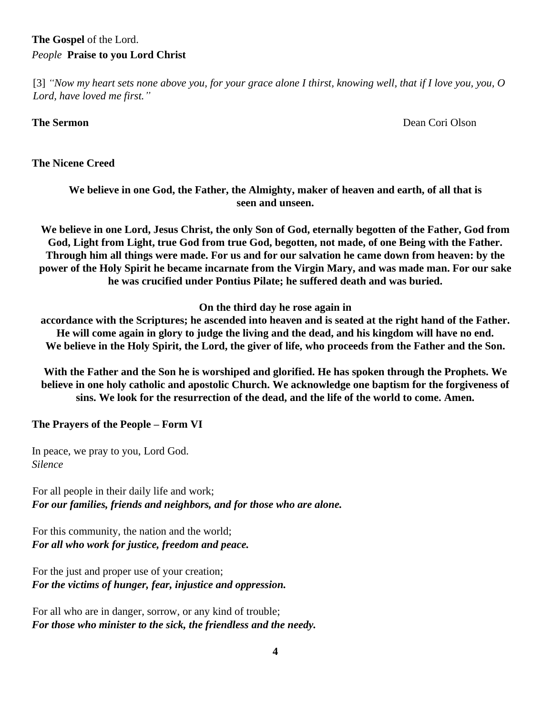# **The Gospel** of the Lord. *People* **Praise to you Lord Christ**

[3] *"Now my heart sets none above you, for your grace alone I thirst, knowing well, that if I love you, you, O Lord, have loved me first."*

**The Sermon Dean Cori Olson** 

### **The Nicene Creed**

**We believe in one God, the Father, the Almighty, maker of heaven and earth, of all that is seen and unseen.** 

**We believe in one Lord, Jesus Christ, the only Son of God, eternally begotten of the Father, God from God, Light from Light, true God from true God, begotten, not made, of one Being with the Father. Through him all things were made. For us and for our salvation he came down from heaven: by the power of the Holy Spirit he became incarnate from the Virgin Mary, and was made man. For our sake he was crucified under Pontius Pilate; he suffered death and was buried.** 

**On the third day he rose again in** 

**accordance with the Scriptures; he ascended into heaven and is seated at the right hand of the Father. He will come again in glory to judge the living and the dead, and his kingdom will have no end. We believe in the Holy Spirit, the Lord, the giver of life, who proceeds from the Father and the Son.** 

**With the Father and the Son he is worshiped and glorified. He has spoken through the Prophets. We believe in one holy catholic and apostolic Church. We acknowledge one baptism for the forgiveness of sins. We look for the resurrection of the dead, and the life of the world to come. Amen.** 

**The Prayers of the People – Form VI**

In peace, we pray to you, Lord God. *Silence*

For all people in their daily life and work; *For our families, friends and neighbors, and for those who are alone.*

For this community, the nation and the world; *For all who work for justice, freedom and peace.*

For the just and proper use of your creation; *For the victims of hunger, fear, injustice and oppression.*

For all who are in danger, sorrow, or any kind of trouble; *For those who minister to the sick, the friendless and the needy.*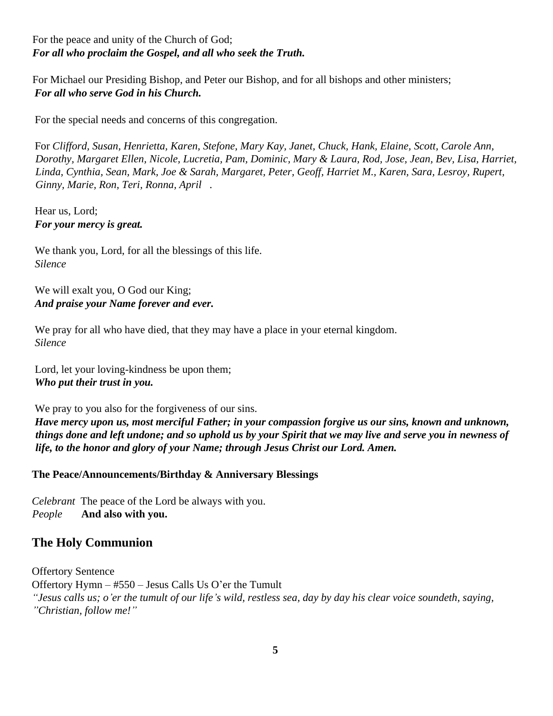## For the peace and unity of the Church of God; *For all who proclaim the Gospel, and all who seek the Truth.*

For Michael our Presiding Bishop, and Peter our Bishop, and for all bishops and other ministers; *For all who serve God in his Church.*

For the special needs and concerns of this congregation.

For *Clifford, Susan, Henrietta, Karen, Stefone, Mary Kay, Janet, Chuck, Hank, Elaine, Scott, Carole Ann, Dorothy, Margaret Ellen, Nicole, Lucretia, Pam, Dominic, Mary & Laura, Rod, Jose, Jean, Bev, Lisa, Harriet, Linda, Cynthia, Sean, Mark, Joe & Sarah, Margaret, Peter, Geoff, Harriet M., Karen, Sara, Lesroy, Rupert, Ginny, Marie, Ron, Teri, Ronna, April .*

Hear us, Lord; *For your mercy is great.*

We thank you, Lord, for all the blessings of this life. *Silence*

We will exalt you, O God our King: *And praise your Name forever and ever.*

We pray for all who have died, that they may have a place in your eternal kingdom. *Silence*

Lord, let your loving-kindness be upon them; *Who put their trust in you.*

We pray to you also for the forgiveness of our sins.

*Have mercy upon us, most merciful Father; in your compassion forgive us our sins, known and unknown, things done and left undone; and so uphold us by your Spirit that we may live and serve you in newness of life, to the honor and glory of your Name; through Jesus Christ our Lord. Amen.*

## **The Peace/Announcements/Birthday & Anniversary Blessings**

*Celebrant* The peace of the Lord be always with you. *People* **And also with you.**

# **The Holy Communion**

Offertory Sentence Offertory Hymn – #550 – Jesus Calls Us O'er the Tumult *"Jesus calls us; o'er the tumult of our life's wild, restless sea, day by day his clear voice soundeth, saying, "Christian, follow me!"*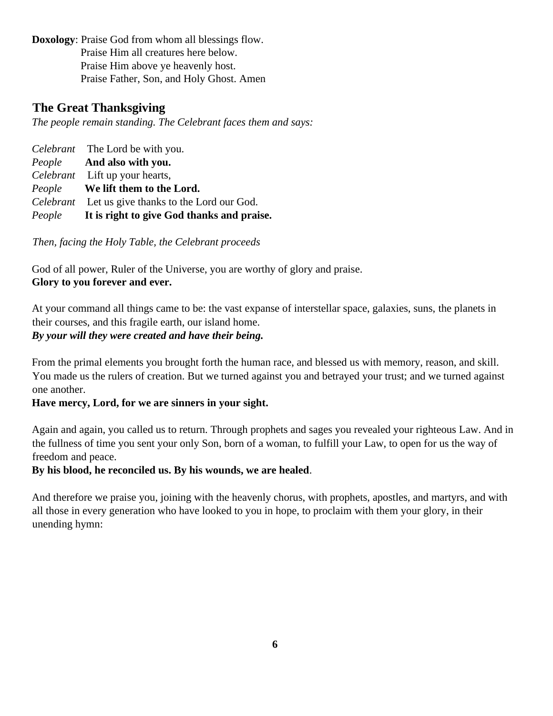**Doxology**: Praise God from whom all blessings flow. Praise Him all creatures here below. Praise Him above ye heavenly host. Praise Father, Son, and Holy Ghost. Amen

# **The Great Thanksgiving**

*The people remain standing. The Celebrant faces them and says:*

| <i>Celebrant</i> The Lord be with you.                   |
|----------------------------------------------------------|
| <i>People</i> And also with you.                         |
| Celebrant Lift up your hearts,                           |
| People We lift them to the Lord.                         |
| <i>Celebrant</i> Let us give thanks to the Lord our God. |
| <i>People</i> It is right to give God thanks and praise. |

*Then, facing the Holy Table, the Celebrant proceeds* 

God of all power, Ruler of the Universe, you are worthy of glory and praise. **Glory to you forever and ever.**

At your command all things came to be: the vast expanse of interstellar space, galaxies, suns, the planets in their courses, and this fragile earth, our island home.

### *By your will they were created and have their being.*

From the primal elements you brought forth the human race, and blessed us with memory, reason, and skill. You made us the rulers of creation. But we turned against you and betrayed your trust; and we turned against one another.

## **Have mercy, Lord, for we are sinners in your sight.**

Again and again, you called us to return. Through prophets and sages you revealed your righteous Law. And in the fullness of time you sent your only Son, born of a woman, to fulfill your Law, to open for us the way of freedom and peace.

#### **By his blood, he reconciled us. By his wounds, we are healed**.

And therefore we praise you, joining with the heavenly chorus, with prophets, apostles, and martyrs, and with all those in every generation who have looked to you in hope, to proclaim with them your glory, in their unending hymn: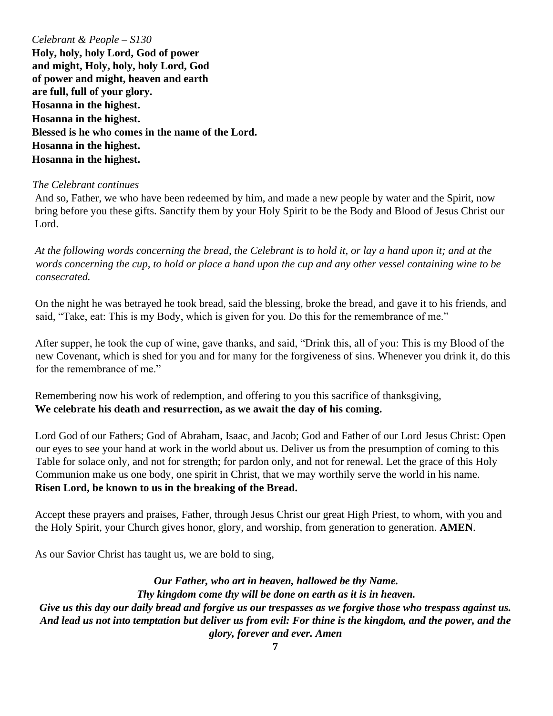*Celebrant & People – S130* **Holy, holy, holy Lord, God of power and might, Holy, holy, holy Lord, God of power and might, heaven and earth are full, full of your glory. Hosanna in the highest. Hosanna in the highest. Blessed is he who comes in the name of the Lord. Hosanna in the highest. Hosanna in the highest.** 

#### *The Celebrant continues*

And so, Father, we who have been redeemed by him, and made a new people by water and the Spirit, now bring before you these gifts. Sanctify them by your Holy Spirit to be the Body and Blood of Jesus Christ our Lord.

*At the following words concerning the bread, the Celebrant is to hold it, or lay a hand upon it; and at the words concerning the cup, to hold or place a hand upon the cup and any other vessel containing wine to be consecrated.*

On the night he was betrayed he took bread, said the blessing, broke the bread, and gave it to his friends, and said, "Take, eat: This is my Body, which is given for you. Do this for the remembrance of me."

After supper, he took the cup of wine, gave thanks, and said, "Drink this, all of you: This is my Blood of the new Covenant, which is shed for you and for many for the forgiveness of sins. Whenever you drink it, do this for the remembrance of me."

Remembering now his work of redemption, and offering to you this sacrifice of thanksgiving, **We celebrate his death and resurrection, as we await the day of his coming.**

Lord God of our Fathers; God of Abraham, Isaac, and Jacob; God and Father of our Lord Jesus Christ: Open our eyes to see your hand at work in the world about us. Deliver us from the presumption of coming to this Table for solace only, and not for strength; for pardon only, and not for renewal. Let the grace of this Holy Communion make us one body, one spirit in Christ, that we may worthily serve the world in his name. **Risen Lord, be known to us in the breaking of the Bread.**

Accept these prayers and praises, Father, through Jesus Christ our great High Priest, to whom, with you and the Holy Spirit, your Church gives honor, glory, and worship, from generation to generation. **AMEN**.

As our Savior Christ has taught us, we are bold to sing,

#### *Our Father, who art in heaven, hallowed be thy Name. Thy kingdom come thy will be done on earth as it is in heaven.*

*Give us this day our daily bread and forgive us our trespasses as we forgive those who trespass against us. And lead us not into temptation but deliver us from evil: For thine is the kingdom, and the power, and the glory, forever and ever. Amen*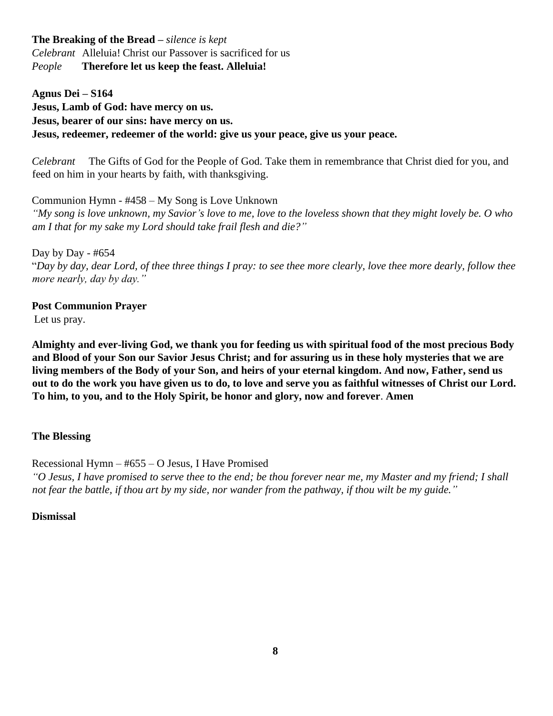**The Breaking of the Bread –** *silence is kept*

*Celebrant* Alleluia! Christ our Passover is sacrificed for us

*People* **Therefore let us keep the feast. Alleluia!**

**Agnus Dei – S164 Jesus, Lamb of God: have mercy on us. Jesus, bearer of our sins: have mercy on us. Jesus, redeemer, redeemer of the world: give us your peace, give us your peace.** 

*Celebrant* The Gifts of God for the People of God. Take them in remembrance that Christ died for you, and feed on him in your hearts by faith, with thanksgiving.

Communion Hymn - #458 – My Song is Love Unknown *"My song is love unknown, my Savior's love to me, love to the loveless shown that they might lovely be. O who am I that for my sake my Lord should take frail flesh and die?"*

Day by Day - #654 "*Day by day, dear Lord, of thee three things I pray: to see thee more clearly, love thee more dearly, follow thee more nearly, day by day."* 

**Post Communion Prayer**  Let us pray.

**Almighty and ever-living God, we thank you for feeding us with spiritual food of the most precious Body and Blood of your Son our Savior Jesus Christ; and for assuring us in these holy mysteries that we are living members of the Body of your Son, and heirs of your eternal kingdom. And now, Father, send us out to do the work you have given us to do, to love and serve you as faithful witnesses of Christ our Lord. To him, to you, and to the Holy Spirit, be honor and glory, now and forever**. **Amen** 

## **The Blessing**

Recessional Hymn – #655 – O Jesus, I Have Promised *"O Jesus, I have promised to serve thee to the end; be thou forever near me, my Master and my friend; I shall not fear the battle, if thou art by my side, nor wander from the pathway, if thou wilt be my guide."*

#### **Dismissal**